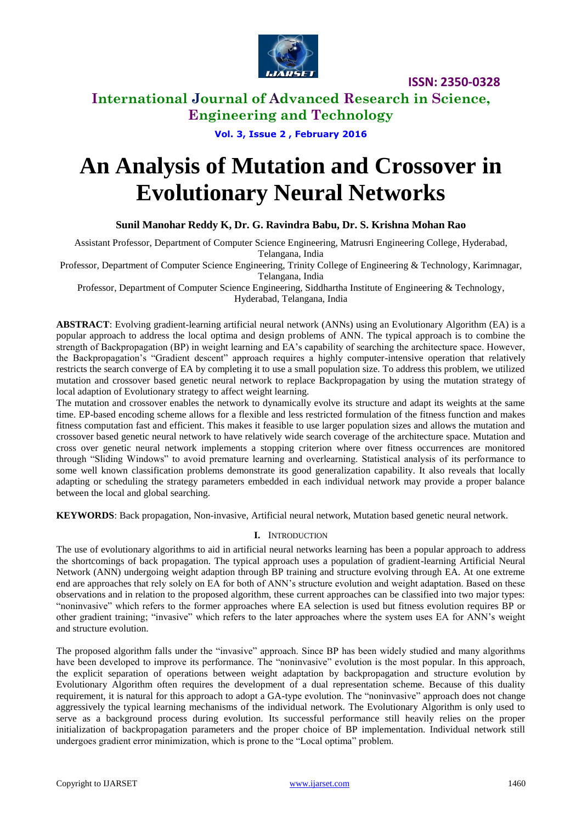

# **International Journal of Advanced Research in Science, Engineering and Technology**

# **Vol. 3, Issue 2 , February 2016**

# **An Analysis of Mutation and Crossover in Evolutionary Neural Networks**

### **Sunil Manohar Reddy K, Dr. G. Ravindra Babu, Dr. S. Krishna Mohan Rao**

Assistant Professor, Department of Computer Science Engineering, Matrusri Engineering College, Hyderabad, Telangana, India

Professor, Department of Computer Science Engineering, Trinity College of Engineering & Technology, Karimnagar, Telangana, India

Professor, Department of Computer Science Engineering, Siddhartha Institute of Engineering & Technology, Hyderabad, Telangana, India

**ABSTRACT**: Evolving gradient-learning artificial neural network (ANNs) using an Evolutionary Algorithm (EA) is a popular approach to address the local optima and design problems of ANN. The typical approach is to combine the strength of Backpropagation (BP) in weight learning and EA's capability of searching the architecture space. However, the Backpropagation's "Gradient descent" approach requires a highly computer-intensive operation that relatively restricts the search converge of EA by completing it to use a small population size. To address this problem, we utilized mutation and crossover based genetic neural network to replace Backpropagation by using the mutation strategy of local adaption of Evolutionary strategy to affect weight learning.

The mutation and crossover enables the network to dynamically evolve its structure and adapt its weights at the same time. EP-based encoding scheme allows for a flexible and less restricted formulation of the fitness function and makes fitness computation fast and efficient. This makes it feasible to use larger population sizes and allows the mutation and crossover based genetic neural network to have relatively wide search coverage of the architecture space. Mutation and cross over genetic neural network implements a stopping criterion where over fitness occurrences are monitored through "Sliding Windows" to avoid premature learning and overlearning. Statistical analysis of its performance to some well known classification problems demonstrate its good generalization capability. It also reveals that locally adapting or scheduling the strategy parameters embedded in each individual network may provide a proper balance between the local and global searching.

**KEYWORDS**: Back propagation, Non-invasive, Artificial neural network, Mutation based genetic neural network.

### **I.** INTRODUCTION

The use of evolutionary algorithms to aid in artificial neural networks learning has been a popular approach to address the shortcomings of back propagation. The typical approach uses a population of gradient-learning Artificial Neural Network (ANN) undergoing weight adaption through BP training and structure evolving through EA. At one extreme end are approaches that rely solely on EA for both of ANN's structure evolution and weight adaptation. Based on these observations and in relation to the proposed algorithm, these current approaches can be classified into two major types: "noninvasive" which refers to the former approaches where EA selection is used but fitness evolution requires BP or other gradient training; "invasive" which refers to the later approaches where the system uses EA for ANN's weight and structure evolution.

The proposed algorithm falls under the "invasive" approach. Since BP has been widely studied and many algorithms have been developed to improve its performance. The "noninvasive" evolution is the most popular. In this approach, the explicit separation of operations between weight adaptation by backpropagation and structure evolution by Evolutionary Algorithm often requires the development of a dual representation scheme. Because of this duality requirement, it is natural for this approach to adopt a GA-type evolution. The "noninvasive" approach does not change aggressively the typical learning mechanisms of the individual network. The Evolutionary Algorithm is only used to serve as a background process during evolution. Its successful performance still heavily relies on the proper initialization of backpropagation parameters and the proper choice of BP implementation. Individual network still undergoes gradient error minimization, which is prone to the "Local optima" problem.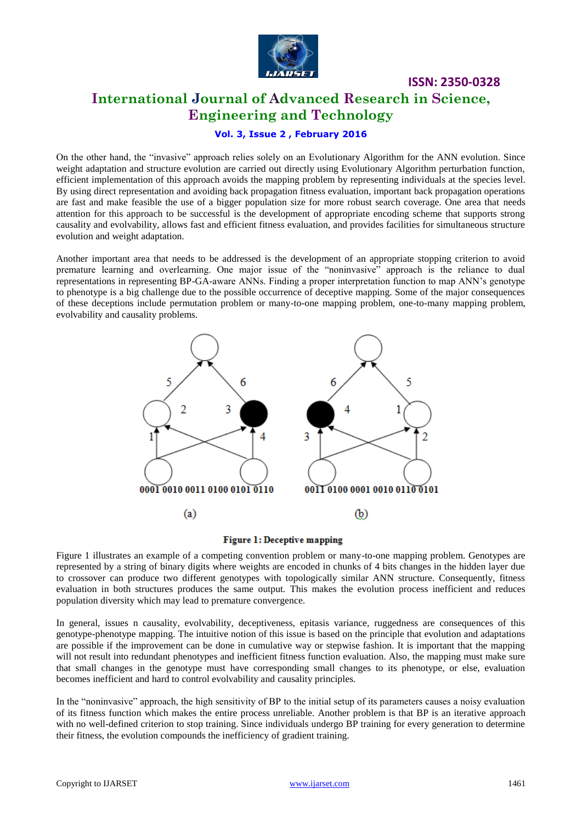

# **International Journal of Advanced Research in Science, Engineering and Technology**

**ISSN: 2350-0328**

# **Vol. 3, Issue 2 , February 2016**

On the other hand, the "invasive" approach relies solely on an Evolutionary Algorithm for the ANN evolution. Since weight adaptation and structure evolution are carried out directly using Evolutionary Algorithm perturbation function, efficient implementation of this approach avoids the mapping problem by representing individuals at the species level. By using direct representation and avoiding back propagation fitness evaluation, important back propagation operations are fast and make feasible the use of a bigger population size for more robust search coverage. One area that needs attention for this approach to be successful is the development of appropriate encoding scheme that supports strong causality and evolvability, allows fast and efficient fitness evaluation, and provides facilities for simultaneous structure evolution and weight adaptation.

Another important area that needs to be addressed is the development of an appropriate stopping criterion to avoid premature learning and overlearning. One major issue of the "noninvasive" approach is the reliance to dual representations in representing BP-GA-aware ANNs. Finding a proper interpretation function to map ANN's genotype to phenotype is a big challenge due to the possible occurrence of deceptive mapping. Some of the major consequences of these deceptions include permutation problem or many-to-one mapping problem, one-to-many mapping problem, evolvability and causality problems.



#### Figure 1: Deceptive mapping

Figure 1 illustrates an example of a competing convention problem or many-to-one mapping problem. Genotypes are represented by a string of binary digits where weights are encoded in chunks of 4 bits changes in the hidden layer due to crossover can produce two different genotypes with topologically similar ANN structure. Consequently, fitness evaluation in both structures produces the same output. This makes the evolution process inefficient and reduces population diversity which may lead to premature convergence.

In general, issues n causality, evolvability, deceptiveness, epitasis variance, ruggedness are consequences of this genotype-phenotype mapping. The intuitive notion of this issue is based on the principle that evolution and adaptations are possible if the improvement can be done in cumulative way or stepwise fashion. It is important that the mapping will not result into redundant phenotypes and inefficient fitness function evaluation. Also, the mapping must make sure that small changes in the genotype must have corresponding small changes to its phenotype, or else, evaluation becomes inefficient and hard to control evolvability and causality principles.

In the "noninvasive" approach, the high sensitivity of BP to the initial setup of its parameters causes a noisy evaluation of its fitness function which makes the entire process unreliable. Another problem is that BP is an iterative approach with no well-defined criterion to stop training. Since individuals undergo BP training for every generation to determine their fitness, the evolution compounds the inefficiency of gradient training.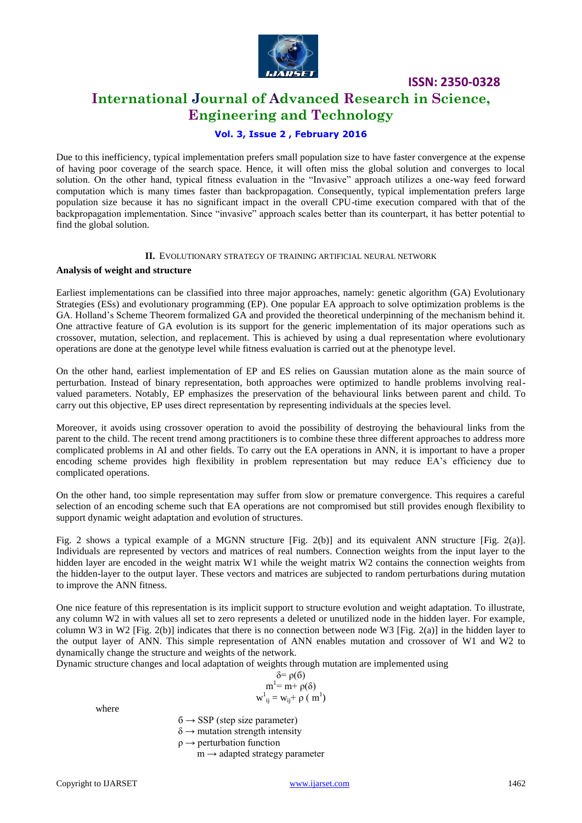

# **International Journal of Advanced Research in Science, Engineering and Technology**

# **Vol. 3, Issue 2 , February 2016**

Due to this inefficiency, typical implementation prefers small population size to have faster convergence at the expense of having poor coverage of the search space. Hence, it will often miss the global solution and converges to local solution. On the other hand, typical fitness evaluation in the "Invasive" approach utilizes a one-way feed forward computation which is many times faster than backpropagation. Consequently, typical implementation prefers large population size because it has no significant impact in the overall CPU-time execution compared with that of the backpropagation implementation. Since "invasive" approach scales better than its counterpart, it has better potential to find the global solution.

### **II.** EVOLUTIONARY STRATEGY OF TRAINING ARTIFICIAL NEURAL NETWORK

#### **Analysis of weight and structure**

Earliest implementations can be classified into three major approaches, namely: genetic algorithm (GA) Evolutionary Strategies (ESs) and evolutionary programming (EP). One popular EA approach to solve optimization problems is the GA. Holland's Scheme Theorem formalized GA and provided the theoretical underpinning of the mechanism behind it. One attractive feature of GA evolution is its support for the generic implementation of its major operations such as crossover, mutation, selection, and replacement. This is achieved by using a dual representation where evolutionary operations are done at the genotype level while fitness evaluation is carried out at the phenotype level.

On the other hand, earliest implementation of EP and ES relies on Gaussian mutation alone as the main source of perturbation. Instead of binary representation, both approaches were optimized to handle problems involving realvalued parameters. Notably, EP emphasizes the preservation of the behavioural links between parent and child. To carry out this objective, EP uses direct representation by representing individuals at the species level.

Moreover, it avoids using crossover operation to avoid the possibility of destroying the behavioural links from the parent to the child. The recent trend among practitioners is to combine these three different approaches to address more complicated problems in AI and other fields. To carry out the EA operations in ANN, it is important to have a proper encoding scheme provides high flexibility in problem representation but may reduce EA's efficiency due to complicated operations.

On the other hand, too simple representation may suffer from slow or premature convergence. This requires a careful selection of an encoding scheme such that EA operations are not compromised but still provides enough flexibility to support dynamic weight adaptation and evolution of structures.

Fig. 2 shows a typical example of a MGNN structure [Fig. 2(b)] and its equivalent ANN structure [Fig. 2(a)]. Individuals are represented by vectors and matrices of real numbers. Connection weights from the input layer to the hidden layer are encoded in the weight matrix W1 while the weight matrix W2 contains the connection weights from the hidden-layer to the output layer. These vectors and matrices are subjected to random perturbations during mutation to improve the ANN fitness.

One nice feature of this representation is its implicit support to structure evolution and weight adaptation. To illustrate, any column W2 in with values all set to zero represents a deleted or unutilized node in the hidden layer. For example, column W3 in W2 [Fig. 2(b)] indicates that there is no connection between node W3 [Fig. 2(a)] in the hidden layer to the output layer of ANN. This simple representation of ANN enables mutation and crossover of W1 and W2 to dynamically change the structure and weights of the network.

Dynamic structure changes and local adaptation of weights through mutation are implemented using

$$
\delta = \rho(6)
$$
  
\n
$$
m^{1} = m + \rho(\delta)
$$
  
\n
$$
w^{1}_{ij} = w_{ij} + \rho(m^{1})
$$

where

 $6 \rightarrow$  SSP (step size parameter)  $\delta \rightarrow$  mutation strength intensity

 $\rho \rightarrow$  perturbation function

 $m \rightarrow$  adapted strategy parameter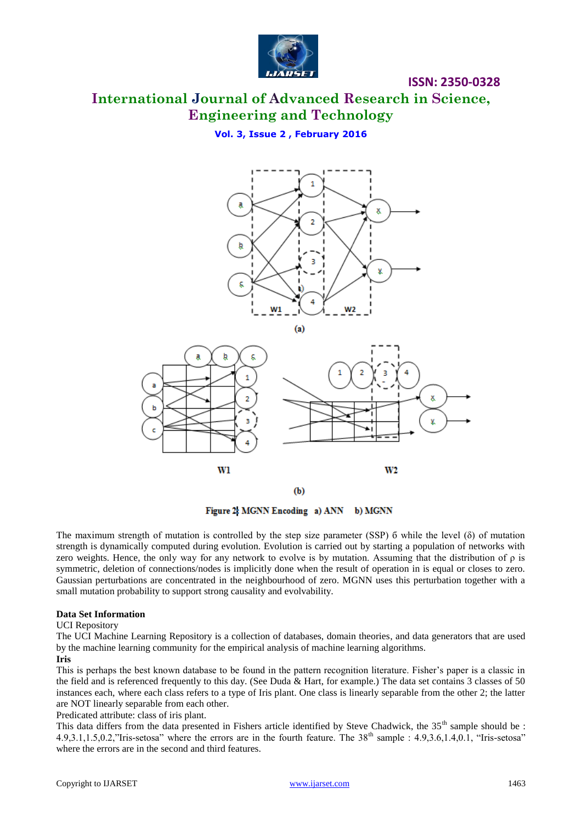

# **International Journal of Advanced Research in Science, Engineering and Technology**

# **Vol. 3, Issue 2 , February 2016**



 $(b)$ 

Figure 2: MGNN Encoding a) ANN b) MGNN

The maximum strength of mutation is controlled by the step size parameter (SSP) б while the level (δ) of mutation strength is dynamically computed during evolution. Evolution is carried out by starting a population of networks with zero weights. Hence, the only way for any network to evolve is by mutation. Assuming that the distribution of  $\rho$  is symmetric, deletion of connections/nodes is implicitly done when the result of operation in is equal or closes to zero. Gaussian perturbations are concentrated in the neighbourhood of zero. MGNN uses this perturbation together with a small mutation probability to support strong causality and evolvability.

### **Data Set Information**

#### UCI Repository

The UCI Machine Learning Repository is a collection of databases, domain theories, and data generators that are used by the machine learning community for the empirical analysis of machine learning algorithms.

### **Iris**

This is perhaps the best known database to be found in the pattern recognition literature. Fisher's paper is a classic in the field and is referenced frequently to this day. (See Duda & Hart, for example.) The data set contains 3 classes of 50 instances each, where each class refers to a type of Iris plant. One class is linearly separable from the other 2; the latter are NOT linearly separable from each other.

Predicated attribute: class of iris plant.

This data differs from the data presented in Fishers article identified by Steve Chadwick, the 35<sup>th</sup> sample should be :  $4.9,3.1,1.5,0.2$ ,"Iris-setosa" where the errors are in the fourth feature. The  $38<sup>th</sup>$  sample :  $4.9,3.6,1.4,0.1$ , "Iris-setosa" where the errors are in the second and third features.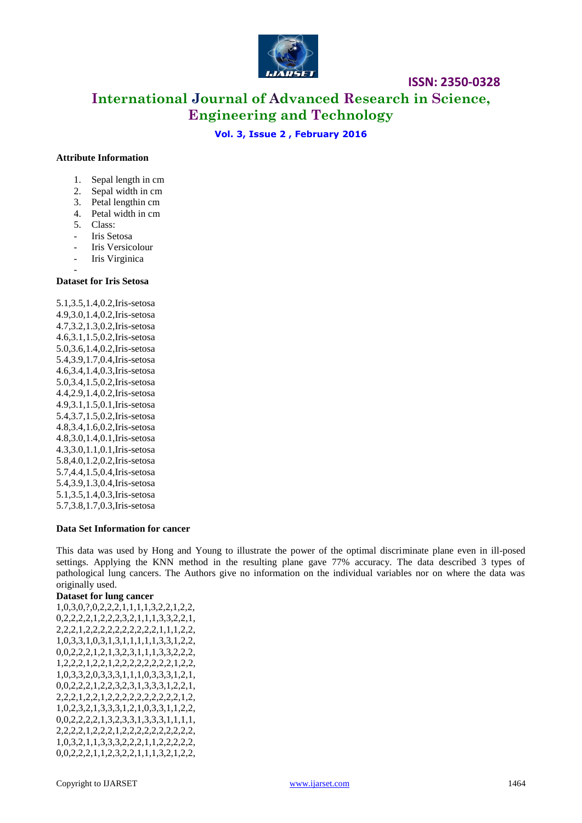

# **International Journal of Advanced Research in Science, Engineering and Technology**

### **Vol. 3, Issue 2 , February 2016**

#### **Attribute Information**

- 1. Sepal length in cm
- 2. Sepal width in cm
- 3. Petal lengthin cm
- 4. Petal width in cm
- 5. Class:
- Iris Setosa
- Iris Versicolour
- Iris Virginica
- -

### **Dataset for Iris Setosa**

5.1,3.5,1.4,0.2,Iris-setosa 4.9,3.0,1.4,0.2,Iris-setosa 4.7,3.2,1.3,0.2,Iris-setosa 4.6,3.1,1.5,0.2,Iris-setosa 5.0,3.6,1.4,0.2,Iris-setosa 5.4,3.9,1.7,0.4,Iris-setosa 4.6,3.4,1.4,0.3,Iris-setosa 5.0,3.4,1.5,0.2,Iris-setosa 4.4,2.9,1.4,0.2,Iris-setosa 4.9,3.1,1.5,0.1,Iris-setosa 5.4,3.7,1.5,0.2,Iris-setosa 4.8,3.4,1.6,0.2,Iris-setosa 4.8,3.0,1.4,0.1,Iris-setosa 4.3,3.0,1.1,0.1,Iris-setosa 5.8,4.0,1.2,0.2,Iris-setosa 5.7,4.4,1.5,0.4,Iris-setosa 5.4,3.9,1.3,0.4,Iris-setosa 5.1,3.5,1.4,0.3,Iris-setosa 5.7,3.8,1.7,0.3,Iris-setosa

#### **Data Set Information for cancer**

This data was used by Hong and Young to illustrate the power of the optimal discriminate plane even in ill-posed settings. Applying the KNN method in the resulting plane gave 77% accuracy. The data described 3 types of pathological lung cancers. The Authors give no information on the individual variables nor on where the data was originally used.

### **Dataset for lung cancer**

1,0,3,0,?,0,2,2,2,1,1,1,1,3,2,2,1,2,2, 0,2,2,2,2,1,2,2,2,3,2,1,1,1,3,3,2,2,1, 2,2,2,1,2,2,2,2,2,2,2,2,2,2,1,1,1,2,2, 1,0,3,3,1,0,3,1,3,1,1,1,1,1,3,3,1,2,2, 0,0,2,2,2,1,2,1,3,2,3,1,1,1,3,3,2,2,2, 1,2,2,2,1,2,2,1,2,2,2,2,2,2,2,2,1,2,2, 1,0,3,3,2,0,3,3,3,1,1,1,0,3,3,3,1,2,1, 0,0,2,2,2,1,2,2,3,2,3,1,3,3,3,1,2,2,1, 2,2,2,1,2,2,1,2,2,2,2,2,2,2,2,2,2,1,2, 1,0,2,3,2,1,3,3,3,1,2,1,0,3,3,1,1,2,2, 0,0,2,2,2,2,1,3,2,3,3,1,3,3,3,1,1,1,1, 2,2,2,2,1,2,2,2,1,2,2,2,2,2,2,2,2,2,2, 1,0,3,2,1,1,3,3,3,2,2,2,1,1,2,2,2,2,2, 0,0,2,2,2,1,1,2,3,2,2,1,1,1,3,2,1,2,2,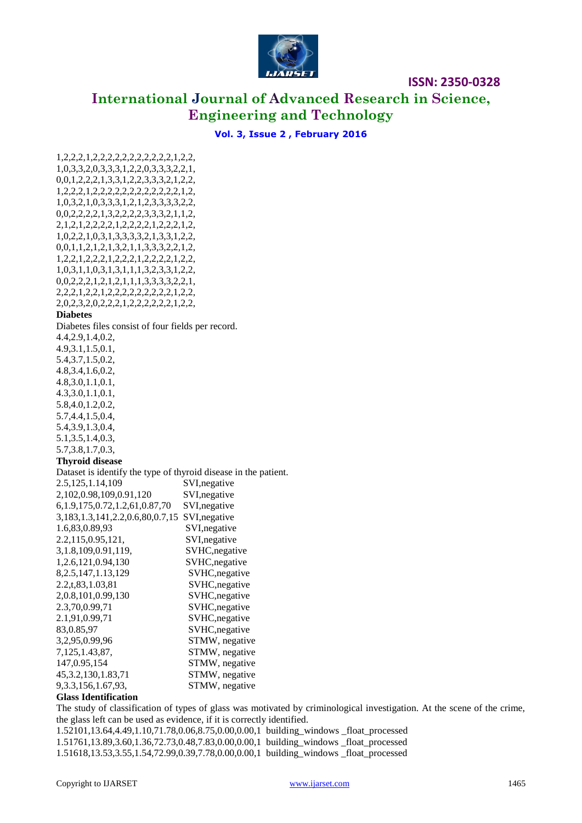

# **International Journal of Advanced Research in Science, Engineering and Technology**

### **Vol. 3, Issue 2 , February 2016**

1,2,2,2,1,2,2,2,2,2,2,2,2,2,2,2,1,2,2, 1,0,3,3,2,0,3,3,3,1,2,2,0,3,3,3,2,2,1, 0,0,1,2,2,2,1,3,3,1,2,2,3,3,3,2,1,2,2, 1,2,2,2,1,2,2,2,2,2,2,2,2,2,2,2,2,1,2, 1,0,3,2,1,0,3,3,3,1,2,1,2,3,3,3,3,2,2, 0,0,2,2,2,2,1,3,2,2,2,2,3,3,3,2,1,1,2, 2,1,2,1,2,2,2,2,1,2,2,2,2,1,2,2,2,1,2, 1,0,2,2,1,0,3,1,3,3,3,3,2,1,3,3,1,2,2, 0,0,1,1,2,1,2,1,3,2,1,1,3,3,3,2,2,1,2, 1,2,2,1,2,2,2,1,2,2,2,1,2,2,2,2,1,2,2, 1,0,3,1,1,0,3,1,3,1,1,1,3,2,3,3,1,2,2, 0,0,2,2,2,1,2,1,2,1,1,1,3,3,3,3,2,2,1, 2,2,2,1,2,2,1,2,2,2,2,2,2,2,2,2,1,2,2, 2,0,2,3,2,0,2,2,2,1,2,2,2,2,2,2,1,2,2,

#### **Diabetes**

Diabetes files consist of four fields per record.

4.4,2.9,1.4,0.2, 4.9,3.1,1.5,0.1, 5.4,3.7,1.5,0.2, 4.8,3.4,1.6,0.2, 4.8,3.0,1.1,0.1, 4.3,3.0,1.1,0.1, 5.8,4.0,1.2,0.2, 5.7,4.4,1.5,0.4, 5.4,3.9,1.3,0.4, 5.1,3.5,1.4,0.3, 5.7,3.8,1.7,0.3, **Thyroid disease** Dataset is identify the type of thyroid disease in the patient. 2.5,125,1.14,109 SVI,negative 2,102,0.98,109,0.91,120 SVI,negative 6,1.9,175,0.72,1.2,61,0.87,70 SVI,negative 3,183,1.3,141,2.2,0.6,80,0.7,15 SVI,negative 1.6,83,0.89,93 SVI,negative 2.2,115,0.95,121, SVI,negative 3,1.8,109,0.91,119, SVHC,negative 1,2.6,121,0.94,130 SVHC,negative 8,2.5,147,1.13,129 SVHC,negative 2.2,t,83,1.03,81 SVHC,negative 2,0.8,101,0.99,130 SVHC,negative 2.3,70,0.99,71 SVHC,negative 2.1,91,0.99,71 SVHC,negative 83,0.85,97 SVHC, negative 3,2,95,0.99,96 STMW, negative 7,125,1.43,87, STMW, negative 147,0.95,154 STMW, negative 45,3.2,130,1.83,71 STMW, negative 9,3.3,156,1.67,93, STMW, negative

### **Glass Identification**

The study of classification of types of glass was motivated by criminological investigation. At the scene of the crime, the glass left can be used as evidence, if it is correctly identified.

1.52101,13.64,4.49,1.10,71.78,0.06,8.75,0.00,0.00,1 building\_windows \_float\_processed 1.51761,13.89,3.60,1.36,72.73,0.48,7.83,0.00,0.00,1 building\_windows \_float\_processed 1.51618,13.53,3.55,1.54,72.99,0.39,7.78,0.00,0.00,1 building\_windows \_float\_processed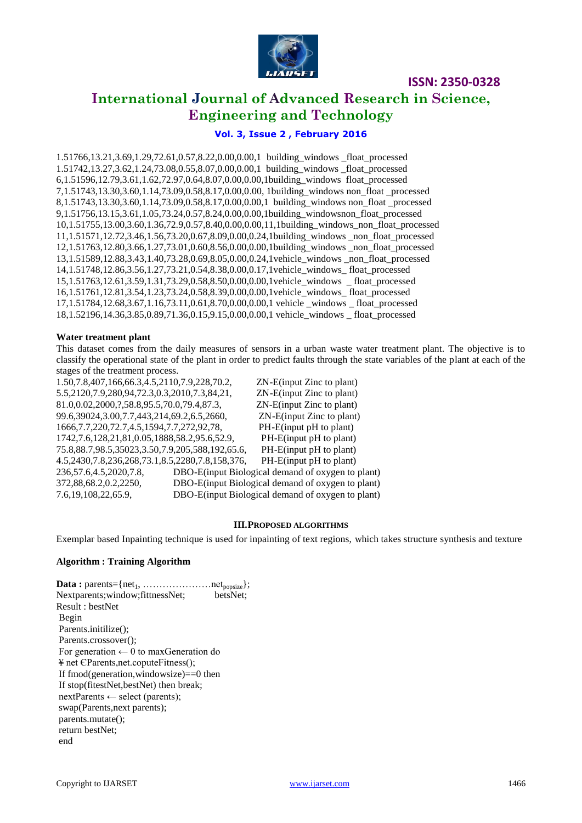

# **International Journal of Advanced Research in Science, Engineering and Technology**

# **Vol. 3, Issue 2 , February 2016**

1.51766,13.21,3.69,1.29,72.61,0.57,8.22,0.00,0.00,1 building\_windows \_float\_processed 1.51742,13.27,3.62,1.24,73.08,0.55,8.07,0.00,0.00,1 building\_windows \_float\_processed 6,1.51596,12.79,3.61,1.62,72.97,0.64,8.07,0.00,0.00,1building\_windows float\_processed 7,1.51743,13.30,3.60,1.14,73.09,0.58,8.17,0.00,0.00, 1building\_windows non\_float \_processed 8,1.51743,13.30,3.60,1.14,73.09,0.58,8.17,0.00,0.00,1 building\_windows non\_float \_processed 9,1.51756,13.15,3.61,1.05,73.24,0.57,8.24,0.00,0.00,1building\_windowsnon\_float\_processed 10,1.51755,13.00,3.60,1.36,72.9,0.57,8.40,0.00,0.00,11,1building\_windows\_non\_float\_processed 11,1.51571,12.72,3.46,1.56,73.20,0.67,8.09,0.00,0.24,1building\_windows \_non\_float\_processed 12,1.51763,12.80,3.66,1.27,73.01,0.60,8.56,0.00,0.00,1building\_windows \_non\_float\_processed 13,1.51589,12.88,3.43,1.40,73.28,0.69,8.05,0.00,0.24,1vehicle\_windows \_non\_float\_processed 14,1.51748,12.86,3.56,1.27,73.21,0.54,8.38,0.00,0.17,1vehicle\_windows\_ float\_processed 15,1.51763,12.61,3.59,1.31,73.29,0.58,8.50,0.00,0.00,1vehicle\_windows \_ float\_processed 16,1.51761,12.81,3.54,1.23,73.24,0.58,8.39,0.00,0.00,1vehicle\_windows\_ float\_processed 17,1.51784,12.68,3.67,1.16,73.11,0.61,8.70,0.00,0.00,1 vehicle \_windows \_ float\_processed 18,1.52196,14.36,3.85,0.89,71.36,0.15,9.15,0.00,0.00,1 vehicle\_windows \_ float\_processed

#### **Water treatment plant**

This dataset comes from the daily measures of sensors in a urban waste water treatment plant. The objective is to classify the operational state of the plant in order to predict faults through the state variables of the plant at each of the stages of the treatment process.

| 1.50, 7.8, 407, 166, 66. 3, 4. 5, 2110, 7.9, 228, 70. 2, | ZN-E(input Zinc to plant)                         |
|----------------------------------------------------------|---------------------------------------------------|
| 5.5, 2120, 7.9, 280, 94, 72.3, 0.3, 2010, 7.3, 84, 21,   | ZN-E(input Zinc to plant)                         |
| 81.0,0.02,2000, ?, 58.8, 95.5, 70.0, 79.4, 87.3,         | $ZN-E$ (input Zinc to plant)                      |
| 99.6,39024,3.00,7.7,443,214,69.2,6.5,2660,               | ZN-E(input Zinc to plant)                         |
| 1666, 7.7, 220, 72.7, 4.5, 1594, 7.7, 272, 92, 78,       | PH-E(input pH to plant)                           |
| 1742, 7.6, 128, 21, 81, 0.05, 1888, 58. 2, 95. 6, 52. 9, | PH-E(input pH to plant)                           |
| 75.8,88.7,98.5,35023,3.50,7.9,205,588,192,65.6,          | PH-E(input pH to plant)                           |
| 4.5,2430,7.8,236,268,73.1,8.5,2280,7.8,158,376,          | PH-E(input pH to plant)                           |
| 236,57.6,4.5,2020,7.8,                                   | DBO-E(input Biological demand of oxygen to plant) |
| 372,88,68.2,0.2,2250,                                    | DBO-E(input Biological demand of oxygen to plant) |
| 7.6, 19, 108, 22, 65.9,                                  | DBO-E(input Biological demand of oxygen to plant) |
|                                                          |                                                   |

#### **III.PROPOSED ALGORITHMS**

Exemplar based Inpainting technique is used for inpainting of text regions, which takes structure synthesis and texture

### **Algorithm : Training Algorithm**

**Data :** parents= $\{net_1, \ldots, \ldots, \ldots, \ldots, net_{\text{popsize}}\}$ ; Nextparents;window;fittnessNet; betsNet; Result : bestNet Begin Parents.initilize(); Parents.crossover(); For generation  $\leftarrow 0$  to maxGeneration do ¥ net ЄParents,net.coputeFitness(); If fmod(generation,windowsize)==0 then If stop(fitestNet,bestNet) then break; nextParents ← select (parents); swap(Parents,next parents); parents.mutate(); return bestNet; end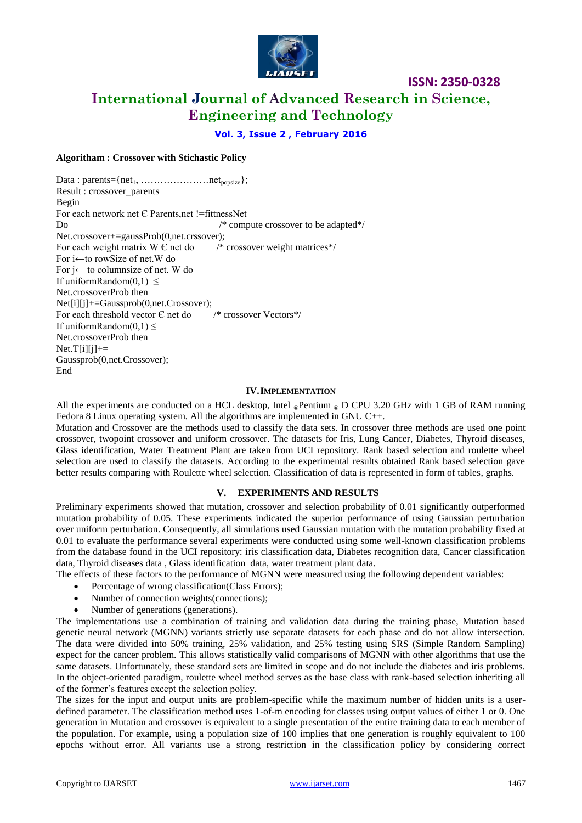

# **International Journal of Advanced Research in Science, Engineering and Technology**

**Vol. 3, Issue 2 , February 2016**

### **Algoritham : Crossover with Stichastic Policy**

Data : parents= $\{net_1, \ldots, \ldots, \ldots, net_{\text{nonsize}}\}$ ; Result : crossover\_parents Begin For each network net Є Parents,net !=fittnessNet Do  $\frac{1}{2}$  compute crossover to be adapted\*/ Net.crossover+=gaussProb(0,net.crssover); For each weight matrix  $W \in \text{net do}$  /\* crossover weight matrices\*/ For i←to rowSize of net.W do For j← to columnsize of net. W do If uniformRandom $(0,1) \leq$ Net.crossoverProb then Net[i][j]+=Gaussprob(0,net.Crossover); For each threshold vector  $\epsilon$  net do  $\ell^*$  crossover Vectors\*/ If uniformRandom $(0,1) \leq$ Net.crossoverProb then  $Net.T[i][i]+=$ Gaussprob(0,net.Crossover); End

#### **IV.IMPLEMENTATION**

All the experiments are conducted on a HCL desktop, Intel  $_{\circledcirc}$ Pentium  $_{\circledcirc}$  D CPU 3.20 GHz with 1 GB of RAM running Fedora 8 Linux operating system. All the algorithms are implemented in GNU C++.

Mutation and Crossover are the methods used to classify the data sets. In crossover three methods are used one point crossover, twopoint crossover and uniform crossover. The datasets for Iris, Lung Cancer, Diabetes, Thyroid diseases, Glass identification, Water Treatment Plant are taken from UCI repository. Rank based selection and roulette wheel selection are used to classify the datasets. According to the experimental results obtained Rank based selection gave better results comparing with Roulette wheel selection. Classification of data is represented in form of tables, graphs.

### **V. EXPERIMENTS AND RESULTS**

Preliminary experiments showed that mutation, crossover and selection probability of 0.01 significantly outperformed mutation probability of 0.05. These experiments indicated the superior performance of using Gaussian perturbation over uniform perturbation. Consequently, all simulations used Gaussian mutation with the mutation probability fixed at 0.01 to evaluate the performance several experiments were conducted using some well-known classification problems from the database found in the UCI repository: iris classification data, Diabetes recognition data, Cancer classification data, Thyroid diseases data , Glass identification data, water treatment plant data.

The effects of these factors to the performance of MGNN were measured using the following dependent variables:

- Percentage of wrong classification(Class Errors);
- Number of connection weights(connections);
- Number of generations (generations).

The implementations use a combination of training and validation data during the training phase, Mutation based genetic neural network (MGNN) variants strictly use separate datasets for each phase and do not allow intersection. The data were divided into 50% training, 25% validation, and 25% testing using SRS (Simple Random Sampling) expect for the cancer problem. This allows statistically valid comparisons of MGNN with other algorithms that use the same datasets. Unfortunately, these standard sets are limited in scope and do not include the diabetes and iris problems. In the object-oriented paradigm, roulette wheel method serves as the base class with rank-based selection inheriting all of the former's features except the selection policy.

The sizes for the input and output units are problem-specific while the maximum number of hidden units is a userdefined parameter. The classification method uses 1-of-m encoding for classes using output values of either 1 or 0. One generation in Mutation and crossover is equivalent to a single presentation of the entire training data to each member of the population. For example, using a population size of 100 implies that one generation is roughly equivalent to 100 epochs without error. All variants use a strong restriction in the classification policy by considering correct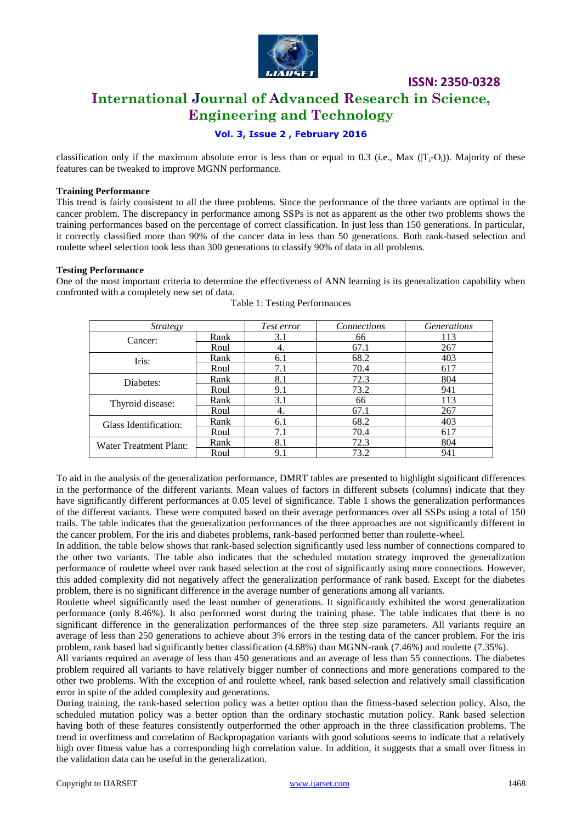

# **International Journal of Advanced Research in Science, Engineering and Technology**

# **Vol. 3, Issue 2 , February 2016**

classification only if the maximum absolute error is less than or equal to 0.3 (i.e., Max  $(T_i-O_i)$ ). Majority of these features can be tweaked to improve MGNN performance.

#### **Training Performance**

This trend is fairly consistent to all the three problems. Since the performance of the three variants are optimal in the cancer problem. The discrepancy in performance among SSPs is not as apparent as the other two problems shows the training performances based on the percentage of correct classification. In just less than 150 generations. In particular, it correctly classified more than 90% of the cancer data in less than 50 generations. Both rank-based selection and roulette wheel selection took less than 300 generations to classify 90% of data in all problems.

#### **Testing Performance**

One of the most important criteria to determine the effectiveness of ANN learning is its generalization capability when confronted with a completely new set of data.

| <i>Strategy</i>        |      | Test error | Connections | <b>Generations</b> |
|------------------------|------|------------|-------------|--------------------|
| Cancer:                | Rank | 3.1        | 66          | 113                |
|                        | Roul | 4.         | 67.1        | 267                |
| Iris:                  | Rank | 6.1        | 68.2        | 403                |
|                        | Roul | 7.1        | 70.4        | 617                |
| Diabetes:              | Rank | 8.1        | 72.3        | 804                |
|                        | Roul | 9.1        | 73.2        | 941                |
| Thyroid disease:       | Rank | 3.1        | 66          | 113                |
|                        | Roul | 4.         | 67.1        | 267                |
| Glass Identification:  | Rank | 6.1        | 68.2        | 403                |
|                        | Roul | 7.1        | 70.4        | 617                |
| Water Treatment Plant: | Rank | 8.1        | 72.3        | 804                |
|                        | Roul | 9.1        | 73.2        | 941                |

Table 1: Testing Performances

To aid in the analysis of the generalization performance, DMRT tables are presented to highlight significant differences in the performance of the different variants. Mean values of factors in different subsets (columns) indicate that they have significantly different performances at 0.05 level of significance. Table 1 shows the generalization performances of the different variants. These were computed based on their average performances over all SSPs using a total of 150 trails. The table indicates that the generalization performances of the three approaches are not significantly different in the cancer problem. For the iris and diabetes problems, rank-based performed better than roulette-wheel.

In addition, the table below shows that rank-based selection significantly used less number of connections compared to the other two variants. The table also indicates that the scheduled mutation strategy improved the generalization performance of roulette wheel over rank based selection at the cost of significantly using more connections. However, this added complexity did not negatively affect the generalization performance of rank based. Except for the diabetes problem, there is no significant difference in the average number of generations among all variants.

Roulette wheel significantly used the least number of generations. It significantly exhibited the worst generalization performance (only 8.46%). It also performed worst during the training phase. The table indicates that there is no significant difference in the generalization performances of the three step size parameters. All variants require an average of less than 250 generations to achieve about 3% errors in the testing data of the cancer problem. For the iris problem, rank based had significantly better classification (4.68%) than MGNN-rank (7.46%) and roulette (7.35%).

All variants required an average of less than 450 generations and an average of less than 55 connections. The diabetes problem required all variants to have relatively bigger number of connections and more generations compared to the other two problems. With the exception of and roulette wheel, rank based selection and relatively small classification error in spite of the added complexity and generations.

During training, the rank-based selection policy was a better option than the fitness-based selection policy. Also, the scheduled mutation policy was a better option than the ordinary stochastic mutation policy. Rank based selection having both of these features consistently outperformed the other approach in the three classification problems. The trend in overfitness and correlation of Backpropagation variants with good solutions seems to indicate that a relatively high over fitness value has a corresponding high correlation value. In addition, it suggests that a small over fitness in the validation data can be useful in the generalization.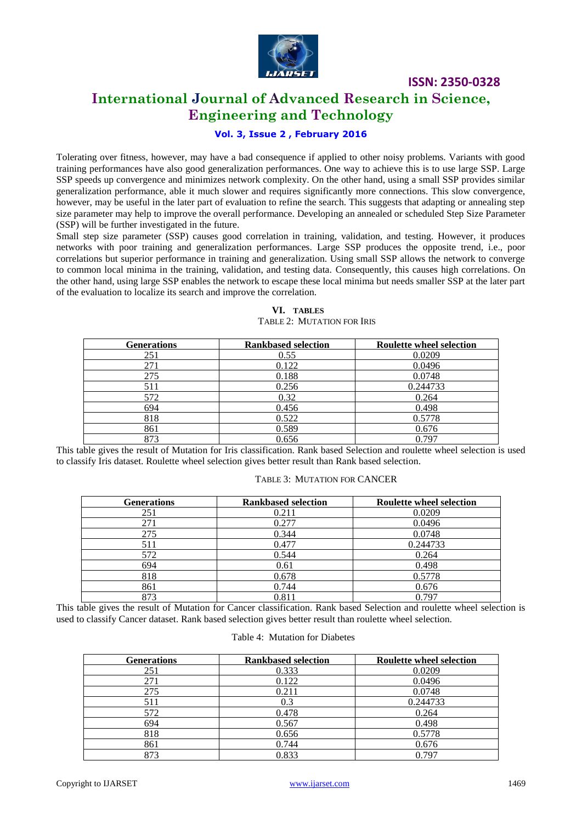

# **International Journal of Advanced Research in Science, Engineering and Technology**

# **Vol. 3, Issue 2 , February 2016**

Tolerating over fitness, however, may have a bad consequence if applied to other noisy problems. Variants with good training performances have also good generalization performances. One way to achieve this is to use large SSP. Large SSP speeds up convergence and minimizes network complexity. On the other hand, using a small SSP provides similar generalization performance, able it much slower and requires significantly more connections. This slow convergence, however, may be useful in the later part of evaluation to refine the search. This suggests that adapting or annealing step size parameter may help to improve the overall performance. Developing an annealed or scheduled Step Size Parameter (SSP) will be further investigated in the future.

Small step size parameter (SSP) causes good correlation in training, validation, and testing. However, it produces networks with poor training and generalization performances. Large SSP produces the opposite trend, i.e., poor correlations but superior performance in training and generalization. Using small SSP allows the network to converge to common local minima in the training, validation, and testing data. Consequently, this causes high correlations. On the other hand, using large SSP enables the network to escape these local minima but needs smaller SSP at the later part of the evaluation to localize its search and improve the correlation.

| <b>Generations</b> | <b>Rankbased selection</b> | <b>Roulette wheel selection</b> |
|--------------------|----------------------------|---------------------------------|
| 251                | 0.55                       | 0.0209                          |
| 271                | 0.122                      | 0.0496                          |
| 275                | 0.188                      | 0.0748                          |
| 511                | 0.256                      | 0.244733                        |
| 572                | 0.32                       | 0.264                           |
| 694                | 0.456                      | 0.498                           |
| 818                | 0.522                      | 0.5778                          |
| 861                | 0.589                      | 0.676                           |
| 873                | 0.656                      | 0.797                           |

### **VI. TABLES** TABLE 2: MUTATION FOR IRIS

This table gives the result of Mutation for Iris classification. Rank based Selection and roulette wheel selection is used to classify Iris dataset. Roulette wheel selection gives better result than Rank based selection.

### TABLE 3: MUTATION FOR CANCER

| <b>Generations</b> | <b>Rankbased selection</b> | <b>Roulette wheel selection</b> |
|--------------------|----------------------------|---------------------------------|
| 251                | 0.211                      | 0.0209                          |
| 271                | 0.277                      | 0.0496                          |
| 275                | 0.344                      | 0.0748                          |
| 511                | 0.477                      | 0.244733                        |
| 572                | 0.544                      | 0.264                           |
| 694                | 0.61                       | 0.498                           |
| 818                | 0.678                      | 0.5778                          |
| 861                | 0.744                      | 0.676                           |
| 873                | 0.811                      | 0.797                           |

This table gives the result of Mutation for Cancer classification. Rank based Selection and roulette wheel selection is used to classify Cancer dataset. Rank based selection gives better result than roulette wheel selection.

#### Table 4: Mutation for Diabetes

| <b>Generations</b> | <b>Rankbased selection</b> | <b>Roulette wheel selection</b> |
|--------------------|----------------------------|---------------------------------|
| 251                | 0.333                      | 0.0209                          |
| 271                | 0.122                      | 0.0496                          |
| 275                | 0.211                      | 0.0748                          |
| 511                | 0.3                        | 0.244733                        |
| 572                | 0.478                      | 0.264                           |
| 694                | 0.567                      | 0.498                           |
| 818                | 0.656                      | 0.5778                          |
| 861                | 0.744                      | 0.676                           |
| 873                | 0.833                      | 0.797                           |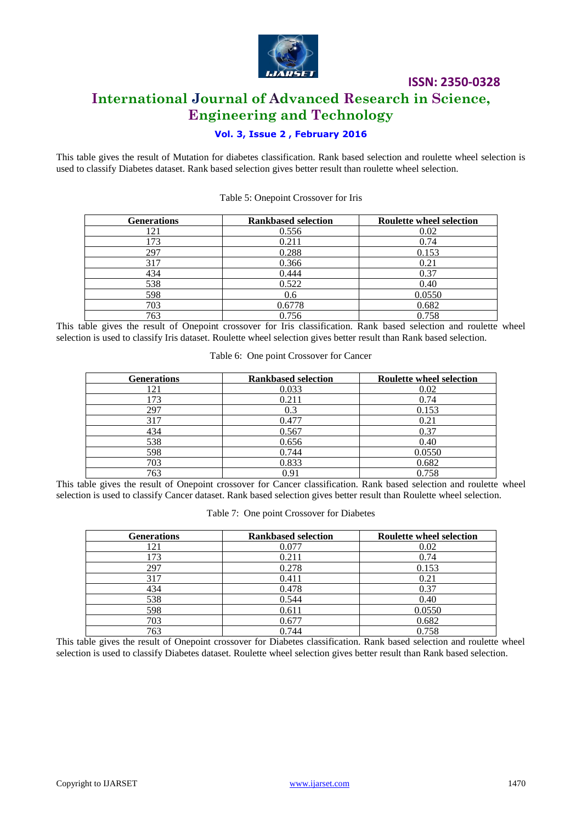

# **International Journal of Advanced Research in Science, Engineering and Technology**

# **Vol. 3, Issue 2 , February 2016**

This table gives the result of Mutation for diabetes classification. Rank based selection and roulette wheel selection is used to classify Diabetes dataset. Rank based selection gives better result than roulette wheel selection.

| <b>Generations</b> | <b>Rankbased selection</b> | <b>Roulette wheel selection</b> |
|--------------------|----------------------------|---------------------------------|
| 121                | 0.556                      | 0.02                            |
| 173                | 0.211                      | 0.74                            |
| 297                | 0.288                      | 0.153                           |
| 317                | 0.366                      | 0.21                            |
| 434                | 0.444                      | 0.37                            |
| 538                | 0.522                      | 0.40                            |
| 598                | 0.6                        | 0.0550                          |
| 703                | 0.6778                     | 0.682                           |
| 763                | 0.756                      | 0.758                           |

Table 5: Onepoint Crossover for Iris

This table gives the result of Onepoint crossover for Iris classification. Rank based selection and roulette wheel selection is used to classify Iris dataset. Roulette wheel selection gives better result than Rank based selection.

| <b>Generations</b> | <b>Rankbased selection</b> | <b>Roulette wheel selection</b> |
|--------------------|----------------------------|---------------------------------|
| l 21               | 0.033                      | 0.02                            |
| 173                | 0.211                      | 0.74                            |
| 297                | 0.3                        | 0.153                           |
| 317                | 0.477                      | 0.21                            |
| 434                | 0.567                      | 0.37                            |
| 538                | 0.656                      | 0.40                            |
| 598                | 0.744                      | 0.0550                          |
| 703                | 0.833                      | 0.682                           |
| 763                | 0.91                       | 0.758                           |

Table 6: One point Crossover for Cancer

This table gives the result of Onepoint crossover for Cancer classification. Rank based selection and roulette wheel selection is used to classify Cancer dataset. Rank based selection gives better result than Roulette wheel selection.

| Table 7: One point Crossover for Diabetes |  |  |  |  |
|-------------------------------------------|--|--|--|--|
|-------------------------------------------|--|--|--|--|

| <b>Generations</b> | <b>Rankbased selection</b> | <b>Roulette wheel selection</b> |
|--------------------|----------------------------|---------------------------------|
| 121                | 0.077                      | 0.02                            |
| 173                | 0.211                      | 0.74                            |
| 297                | 0.278                      | 0.153                           |
| 317                | 0.411                      | 0.21                            |
| 434                | 0.478                      | 0.37                            |
| 538                | 0.544                      | 0.40                            |
| 598                | 0.611                      | 0.0550                          |
| 703                | 0.677                      | 0.682                           |
| 763                | 0.744                      | 0.758                           |

This table gives the result of Onepoint crossover for Diabetes classification. Rank based selection and roulette wheel selection is used to classify Diabetes dataset. Roulette wheel selection gives better result than Rank based selection.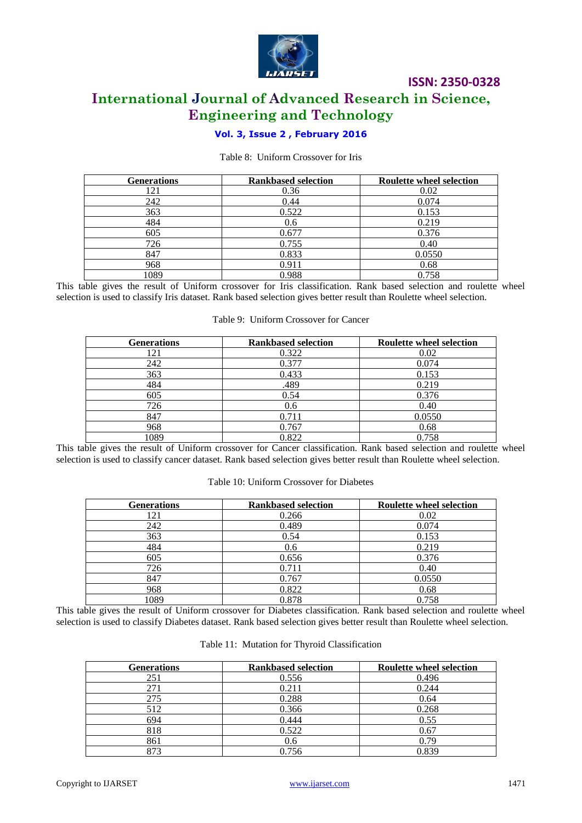

# **ISSN: 2350-0328 International Journal of Advanced Research in Science, Engineering and Technology**

# **Vol. 3, Issue 2 , February 2016**

### Table 8: Uniform Crossover for Iris

| <b>Generations</b> | <b>Rankbased selection</b> | <b>Roulette wheel selection</b> |
|--------------------|----------------------------|---------------------------------|
| 121                | 0.36                       | 0.02                            |
| 242                | 0.44                       | 0.074                           |
| 363                | 0.522                      | 0.153                           |
| 484                | 0.6                        | 0.219                           |
| 605                | 0.677                      | 0.376                           |
| 726                | 0.755                      | 0.40                            |
| 847                | 0.833                      | 0.0550                          |
| 968                | 0.911                      | 0.68                            |
| 1089               | 0.988                      | 0.758                           |

This table gives the result of Uniform crossover for Iris classification. Rank based selection and roulette wheel selection is used to classify Iris dataset. Rank based selection gives better result than Roulette wheel selection.

#### Table 9: Uniform Crossover for Cancer

| <b>Generations</b> | <b>Rankbased selection</b> | <b>Roulette wheel selection</b> |
|--------------------|----------------------------|---------------------------------|
| 121                | 0.322                      | 0.02                            |
| 242                | 0.377                      | 0.074                           |
| 363                | 0.433                      | 0.153                           |
| 484                | .489                       | 0.219                           |
| 605                | 0.54                       | 0.376                           |
| 726                | 0.6                        | 0.40                            |
| 847                | 0.711                      | 0.0550                          |
| 968                | 0.767                      | 0.68                            |
| 1089               | 0.822                      | 0.758                           |

This table gives the result of Uniform crossover for Cancer classification. Rank based selection and roulette wheel selection is used to classify cancer dataset. Rank based selection gives better result than Roulette wheel selection.

#### Table 10: Uniform Crossover for Diabetes

| <b>Generations</b> | <b>Rankbased selection</b> | <b>Roulette wheel selection</b> |
|--------------------|----------------------------|---------------------------------|
| 121                | 0.266                      | 0.02                            |
| 242                | 0.489                      | 0.074                           |
| 363                | 0.54                       | 0.153                           |
| 484                | 0.6                        | 0.219                           |
| 605                | 0.656                      | 0.376                           |
| 726                | 0.711                      | 0.40                            |
| 847                | 0.767                      | 0.0550                          |
| 968                | 0.822                      | 0.68                            |
| 1089               | 0.878                      | 0.758                           |

This table gives the result of Uniform crossover for Diabetes classification. Rank based selection and roulette wheel selection is used to classify Diabetes dataset. Rank based selection gives better result than Roulette wheel selection.

|  |  |  |  | Table 11: Mutation for Thyroid Classification |
|--|--|--|--|-----------------------------------------------|
|--|--|--|--|-----------------------------------------------|

| <b>Generations</b> | <b>Rankbased selection</b> | <b>Roulette wheel selection</b> |
|--------------------|----------------------------|---------------------------------|
| 251                | 0.556                      | 0.496                           |
| 271                | 0.211                      | 0.244                           |
| 275                | 0.288                      | 0.64                            |
| 512                | 0.366                      | 0.268                           |
| 694                | 0.444                      | 0.55                            |
| 818                | 0.522                      | 0.67                            |
| 861                | 0.6                        | 0.79                            |
| 873                | 0.756                      | 0.839                           |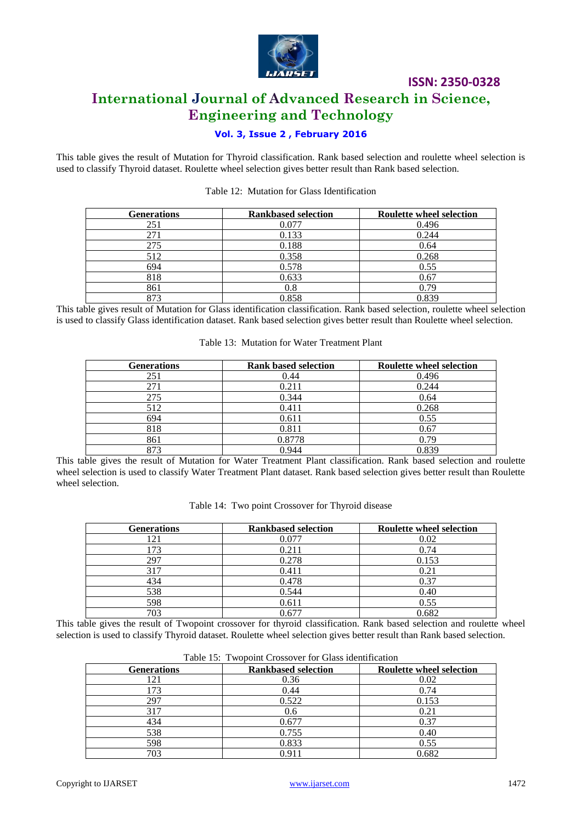

# **International Journal of Advanced Research in Science, Engineering and Technology**

# **Vol. 3, Issue 2 , February 2016**

This table gives the result of Mutation for Thyroid classification. Rank based selection and roulette wheel selection is used to classify Thyroid dataset. Roulette wheel selection gives better result than Rank based selection.

| <b>Generations</b> | <b>Rankbased selection</b> | <b>Roulette wheel selection</b> |
|--------------------|----------------------------|---------------------------------|
| 251                | 0.077                      | 0.496                           |
| 271                | 0.133                      | 0.244                           |
| 275                | 0.188                      | 0.64                            |
| 512                | 0.358                      | 0.268                           |
| 694                | 0.578                      | 0.55                            |
| 818                | 0.633                      | 0.67                            |
| 861                | 0.8                        | 0.79                            |
| 873                | 0.858                      | 0.839                           |

Table 12: Mutation for Glass Identification

This table gives result of Mutation for Glass identification classification. Rank based selection, roulette wheel selection is used to classify Glass identification dataset. Rank based selection gives better result than Roulette wheel selection.

|  | Table 13: Mutation for Water Treatment Plant |
|--|----------------------------------------------|
|  |                                              |

| <b>Generations</b> | <b>Rank based selection</b> | <b>Roulette wheel selection</b> |
|--------------------|-----------------------------|---------------------------------|
| 251                | 0.44                        | 0.496                           |
| 271                | 0.211                       | 0.244                           |
| 275                | 0.344                       | 0.64                            |
| 512                | 0.411                       | 0.268                           |
| 694                | 0.611                       | 0.55                            |
| 818                | 0.811                       | 0.67                            |
| 861                | 0.8778                      | 0.79                            |
| 873                | 0.944                       | 0.839                           |

This table gives the result of Mutation for Water Treatment Plant classification. Rank based selection and roulette wheel selection is used to classify Water Treatment Plant dataset. Rank based selection gives better result than Roulette wheel selection.

| <b>Generations</b> | <b>Rankbased selection</b> | <b>Roulette wheel selection</b> |
|--------------------|----------------------------|---------------------------------|
| 121                | 0.077                      | 0.02                            |
| 173                | 0.211                      | 0.74                            |
| 297                | 0.278                      | 0.153                           |
| 317                | 0.411                      | 0.21                            |
| 434                | 0.478                      | 0.37                            |
| 538                | 0.544                      | 0.40                            |
| 598                | 0.611                      | 0.55                            |
| 703                | 0.677                      | 0.682                           |

This table gives the result of Twopoint crossover for thyroid classification. Rank based selection and roulette wheel selection is used to classify Thyroid dataset. Roulette wheel selection gives better result than Rank based selection.

|  | Table 15: Twopoint Crossover for Glass identification |  |
|--|-------------------------------------------------------|--|
|  |                                                       |  |

| <b>Generations</b> | <b>Rankbased selection</b> | <b>Roulette wheel selection</b> |
|--------------------|----------------------------|---------------------------------|
|                    | 0.36                       | 0.02                            |
| .73                | 0.44                       | 0.74                            |
| 297                | 0.522                      | 0.153                           |
| 317                | 0.6                        | 0.21                            |
| 434                | 0.677                      | 0.37                            |
| 538                | 0.755                      | 0.40                            |
| 598                | 0.833                      | 0.55                            |
| 703                | 0.91 <sup>1</sup>          | 0.682                           |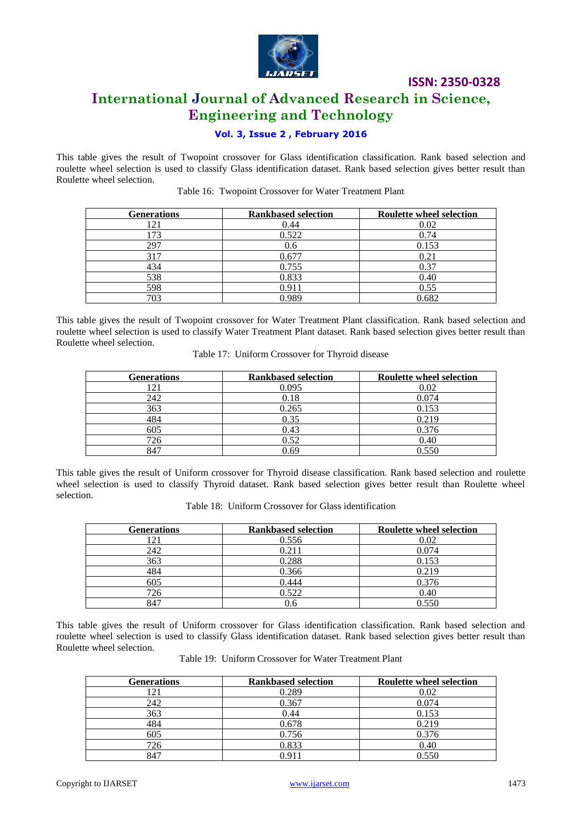

# **International Journal of Advanced Research in Science, Engineering and Technology**

# **Vol. 3, Issue 2 , February 2016**

This table gives the result of Twopoint crossover for Glass identification classification. Rank based selection and roulette wheel selection is used to classify Glass identification dataset. Rank based selection gives better result than Roulette wheel selection.

| <b>Generations</b> | <b>Rankbased selection</b> | <b>Roulette wheel selection</b> |
|--------------------|----------------------------|---------------------------------|
| l 21               | 0.44                       | 0.02                            |
| 173                | 0.522                      | 0.74                            |
| 297                | 0.6                        | 0.153                           |
| 317                | 0.677                      | 0.21                            |
| 434                | 0.755                      | 0.37                            |
| 538                | 0.833                      | 0.40                            |
| 598                | 0.911                      | 0.55                            |
| 703                | በ ዓՋባ                      | 0.682                           |

Table 16: Twopoint Crossover for Water Treatment Plant

This table gives the result of Twopoint crossover for Water Treatment Plant classification. Rank based selection and roulette wheel selection is used to classify Water Treatment Plant dataset. Rank based selection gives better result than Roulette wheel selection.

| Table 17: Uniform Crossover for Thyroid disease |
|-------------------------------------------------|
|-------------------------------------------------|

| <b>Generations</b> | <b>Rankbased selection</b> | <b>Roulette wheel selection</b> |
|--------------------|----------------------------|---------------------------------|
| 121                | 0.095                      | 0.02                            |
| 242                | 0.18                       | 0.074                           |
| 363                | 0.265                      | 0.153                           |
| 484                | 0.35                       | 0.219                           |
| 605                | 0.43                       | 0.376                           |
| 726                | 0.52                       | 0.40                            |
| 847                | 0.69                       | 0.550                           |

This table gives the result of Uniform crossover for Thyroid disease classification. Rank based selection and roulette wheel selection is used to classify Thyroid dataset. Rank based selection gives better result than Roulette wheel selection.

Table 18: Uniform Crossover for Glass identification

| <b>Generations</b> | <b>Rankbased selection</b> | <b>Roulette wheel selection</b> |
|--------------------|----------------------------|---------------------------------|
| 121                | 0.556                      | 0.02                            |
| 242                | 0.211                      | 0.074                           |
| 363                | 0.288                      | 0.153                           |
| 484                | 0.366                      | 0.219                           |
| 605                | 0.444                      | 0.376                           |
| 726                | 0.522                      | 0.40                            |
| 847                |                            | 0.550                           |

This table gives the result of Uniform crossover for Glass identification classification. Rank based selection and roulette wheel selection is used to classify Glass identification dataset. Rank based selection gives better result than Roulette wheel selection.

|  |  |  |  | Table 19: Uniform Crossover for Water Treatment Plant |  |
|--|--|--|--|-------------------------------------------------------|--|
|--|--|--|--|-------------------------------------------------------|--|

| <b>Generations</b> | <b>Rankbased selection</b> | <b>Roulette wheel selection</b> |
|--------------------|----------------------------|---------------------------------|
| 121                | 0.289                      | 0.02                            |
| 242                | 0.367                      | 0.074                           |
| 363                | 0.44                       | 0.153                           |
| 484                | 0.678                      | 0.219                           |
| 605                | 0.756                      | 0.376                           |
| 726                | 0.833                      | 0.40                            |
| 847                | በ 91                       | 0.550                           |